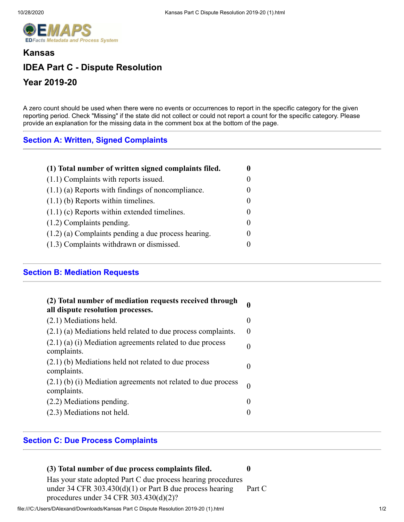

# **Kansas IDEA Part C - Dispute Resolution Year 2019-20**

A zero count should be used when there were no events or occurrences to report in the specific category for the given reporting period. Check "Missing" if the state did not collect or could not report a count for the specific category. Please provide an explanation for the missing data in the comment box at the bottom of the page.

## **Section A: Written, Signed Complaints**

| (1) Total number of written signed complaints filed.  |                   |
|-------------------------------------------------------|-------------------|
| $(1.1)$ Complaints with reports issued.               |                   |
| $(1.1)$ (a) Reports with findings of noncompliance.   |                   |
| $(1.1)$ (b) Reports within timelines.                 | $\mathbf{0}$      |
| $(1.1)$ (c) Reports within extended timelines.        |                   |
| $(1.2)$ Complaints pending.                           | $\Omega$          |
| $(1.2)$ (a) Complaints pending a due process hearing. | $\mathbf{\Omega}$ |
| (1.3) Complaints withdrawn or dismissed.              |                   |

#### **Section B: Mediation Requests**

| (2) Total number of mediation requests received through<br>all dispute resolution processes. | 0                 |
|----------------------------------------------------------------------------------------------|-------------------|
| (2.1) Mediations held.                                                                       | $\mathbf{\Omega}$ |
| $(2.1)$ (a) Mediations held related to due process complaints.                               | $\Omega$          |
| $(2.1)$ (a) (i) Mediation agreements related to due process<br>complaints.                   |                   |
| $(2.1)$ (b) Mediations held not related to due process<br>complaints.                        |                   |
| $(2.1)$ (b) (i) Mediation agreements not related to due process<br>complaints.               | $\Omega$          |
| (2.2) Mediations pending.                                                                    |                   |
| (2.3) Mediations not held.                                                                   |                   |

#### **Section C: Due Process Complaints**

## **(3) Total number of due process complaints filed. 0**

Has your state adopted Part C due process hearing procedures under 34 CFR 303.430(d)(1) or Part B due process hearing procedures under 34 CFR 303.430(d)(2)? Part C